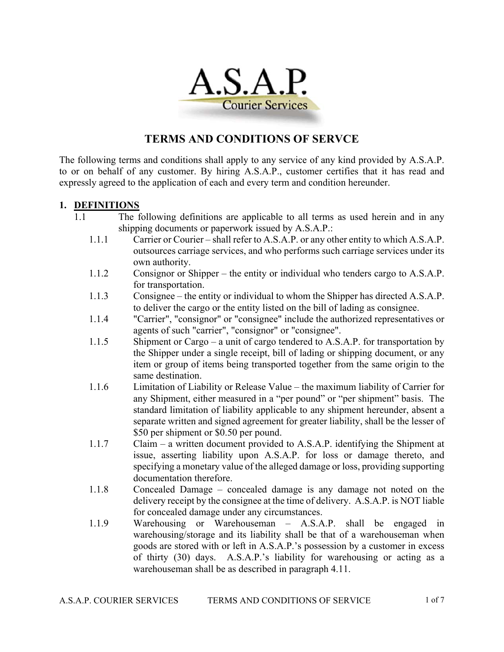

## **TERMS AND CONDITIONS OF SERVCE**

The following terms and conditions shall apply to any service of any kind provided by A.S.A.P. to or on behalf of any customer. By hiring A.S.A.P., customer certifies that it has read and expressly agreed to the application of each and every term and condition hereunder.

#### **1. DEFINITIONS**

- 1.1 The following definitions are applicable to all terms as used herein and in any shipping documents or paperwork issued by A.S.A.P.:
	- 1.1.1 Carrier or Courier shall refer to A.S.A.P. or any other entity to which A.S.A.P. outsources carriage services, and who performs such carriage services under its own authority.
	- 1.1.2 Consignor or Shipper the entity or individual who tenders cargo to A.S.A.P. for transportation.
	- 1.1.3 Consignee the entity or individual to whom the Shipper has directed A.S.A.P. to deliver the cargo or the entity listed on the bill of lading as consignee.
	- 1.1.4 "Carrier", "consignor" or "consignee" include the authorized representatives or agents of such "carrier", "consignor" or "consignee".
	- 1.1.5 Shipment or Cargo a unit of cargo tendered to A.S.A.P. for transportation by the Shipper under a single receipt, bill of lading or shipping document, or any item or group of items being transported together from the same origin to the same destination.
	- 1.1.6 Limitation of Liability or Release Value the maximum liability of Carrier for any Shipment, either measured in a "per pound" or "per shipment" basis. The standard limitation of liability applicable to any shipment hereunder, absent a separate written and signed agreement for greater liability, shall be the lesser of \$50 per shipment or \$0.50 per pound.
	- 1.1.7 Claim a written document provided to A.S.A.P. identifying the Shipment at issue, asserting liability upon A.S.A.P. for loss or damage thereto, and specifying a monetary value of the alleged damage or loss, providing supporting documentation therefore.
	- 1.1.8 Concealed Damage concealed damage is any damage not noted on the delivery receipt by the consignee at the time of delivery. A.S.A.P. is NOT liable for concealed damage under any circumstances.
	- 1.1.9 Warehousing or Warehouseman A.S.A.P. shall be engaged in warehousing/storage and its liability shall be that of a warehouseman when goods are stored with or left in A.S.A.P.'s possession by a customer in excess of thirty (30) days. A.S.A.P.'s liability for warehousing or acting as a warehouseman shall be as described in paragraph 4.11.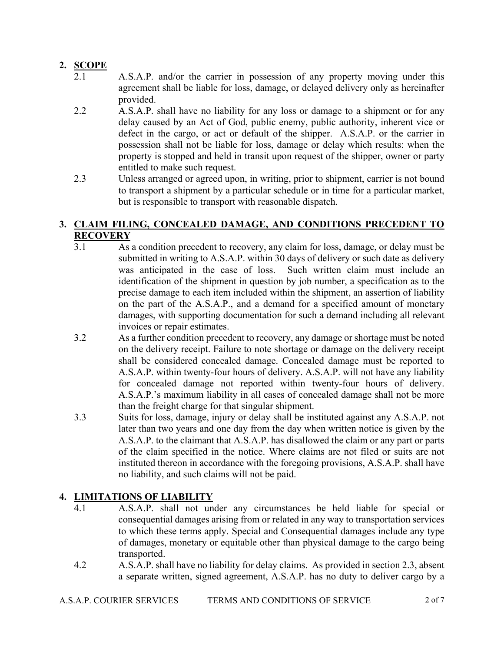## **2. SCOPE**

- 2.1 A.S.A.P. and/or the carrier in possession of any property moving under this agreement shall be liable for loss, damage, or delayed delivery only as hereinafter provided.
- 2.2 A.S.A.P. shall have no liability for any loss or damage to a shipment or for any delay caused by an Act of God, public enemy, public authority, inherent vice or defect in the cargo, or act or default of the shipper. A.S.A.P. or the carrier in possession shall not be liable for loss, damage or delay which results: when the property is stopped and held in transit upon request of the shipper, owner or party entitled to make such request.
- 2.3 Unless arranged or agreed upon, in writing, prior to shipment, carrier is not bound to transport a shipment by a particular schedule or in time for a particular market, but is responsible to transport with reasonable dispatch.

## **3. CLAIM FILING, CONCEALED DAMAGE, AND CONDITIONS PRECEDENT TO RECOVERY**

- 3.1 As a condition precedent to recovery, any claim for loss, damage, or delay must be submitted in writing to A.S.A.P. within 30 days of delivery or such date as delivery was anticipated in the case of loss. Such written claim must include an identification of the shipment in question by job number, a specification as to the precise damage to each item included within the shipment, an assertion of liability on the part of the A.S.A.P., and a demand for a specified amount of monetary damages, with supporting documentation for such a demand including all relevant invoices or repair estimates.
- 3.2 As a further condition precedent to recovery, any damage or shortage must be noted on the delivery receipt. Failure to note shortage or damage on the delivery receipt shall be considered concealed damage. Concealed damage must be reported to A.S.A.P. within twenty-four hours of delivery. A.S.A.P. will not have any liability for concealed damage not reported within twenty-four hours of delivery. A.S.A.P.'s maximum liability in all cases of concealed damage shall not be more than the freight charge for that singular shipment.
- 3.3 Suits for loss, damage, injury or delay shall be instituted against any A.S.A.P. not later than two years and one day from the day when written notice is given by the A.S.A.P. to the claimant that A.S.A.P. has disallowed the claim or any part or parts of the claim specified in the notice. Where claims are not filed or suits are not instituted thereon in accordance with the foregoing provisions, A.S.A.P. shall have no liability, and such claims will not be paid.

# **4. LIMITATIONS OF LIABILITY**

- 4.1 A.S.A.P. shall not under any circumstances be held liable for special or consequential damages arising from or related in any way to transportation services to which these terms apply. Special and Consequential damages include any type of damages, monetary or equitable other than physical damage to the cargo being transported.
- 4.2 A.S.A.P. shall have no liability for delay claims. As provided in section 2.3, absent a separate written, signed agreement, A.S.A.P. has no duty to deliver cargo by a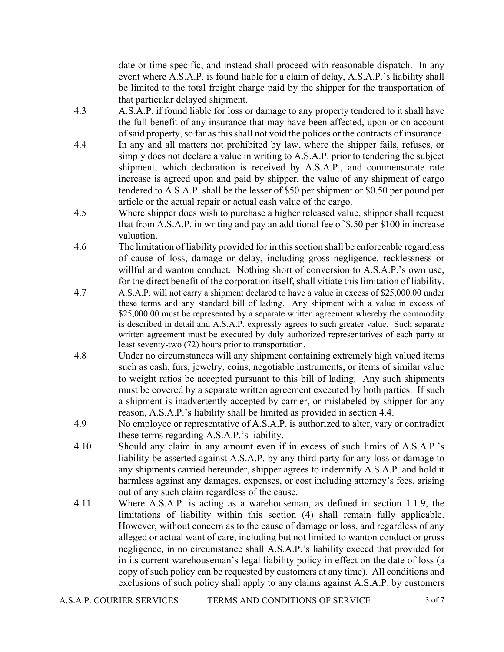date or time specific, and instead shall proceed with reasonable dispatch. In any event where A.S.A.P. is found liable for a claim of delay, A.S.A.P.'s liability shall be limited to the total freight charge paid by the shipper for the transportation of that particular delayed shipment.

- 4.3 A.S.A.P. if found liable for loss or damage to any property tendered to it shall have the full benefit of any insurance that may have been affected, upon or on account of said property, so far as this shall not void the polices or the contracts of insurance.
- 4.4 In any and all matters not prohibited by law, where the shipper fails, refuses, or simply does not declare a value in writing to A.S.A.P. prior to tendering the subject shipment, which declaration is received by A.S.A.P., and commensurate rate increase is agreed upon and paid by shipper, the value of any shipment of cargo tendered to A.S.A.P. shall be the lesser of \$50 per shipment or \$0.50 per pound per article or the actual repair or actual cash value of the cargo.
- 4.5 Where shipper does wish to purchase a higher released value, shipper shall request that from A.S.A.P. in writing and pay an additional fee of \$.50 per \$100 in increase valuation.
- 4.6 The limitation of liability provided for in this section shall be enforceable regardless of cause of loss, damage or delay, including gross negligence, recklessness or willful and wanton conduct. Nothing short of conversion to A.S.A.P.'s own use, for the direct benefit of the corporation itself, shall vitiate this limitation of liability.
- 4.7 A.S.A.P. will not carry a shipment declared to have a value in excess of \$25,000.00 under these terms and any standard bill of lading. Any shipment with a value in excess of \$25,000.00 must be represented by a separate written agreement whereby the commodity is described in detail and A.S.A.P. expressly agrees to such greater value. Such separate written agreement must be executed by duly authorized representatives of each party at least seventy-two (72) hours prior to transportation.
- 4.8 Under no circumstances will any shipment containing extremely high valued items such as cash, furs, jewelry, coins, negotiable instruments, or items of similar value to weight ratios be accepted pursuant to this bill of lading. Any such shipments must be covered by a separate written agreement executed by both parties. If such a shipment is inadvertently accepted by carrier, or mislabeled by shipper for any reason, A.S.A.P.'s liability shall be limited as provided in section 4.4.
- 4.9 No employee or representative of A.S.A.P. is authorized to alter, vary or contradict these terms regarding A.S.A.P.'s liability.
- 4.10 Should any claim in any amount even if in excess of such limits of A.S.A.P.'s liability be asserted against A.S.A.P. by any third party for any loss or damage to any shipments carried hereunder, shipper agrees to indemnify A.S.A.P. and hold it harmless against any damages, expenses, or cost including attorney's fees, arising out of any such claim regardless of the cause.
- 4.11 Where A.S.A.P. is acting as a warehouseman, as defined in section 1.1.9, the limitations of liability within this section (4) shall remain fully applicable. However, without concern as to the cause of damage or loss, and regardless of any alleged or actual want of care, including but not limited to wanton conduct or gross negligence, in no circumstance shall A.S.A.P.'s liability exceed that provided for in its current warehouseman's legal liability policy in effect on the date of loss (a copy of such policy can be requested by customers at any time). All conditions and exclusions of such policy shall apply to any claims against A.S.A.P. by customers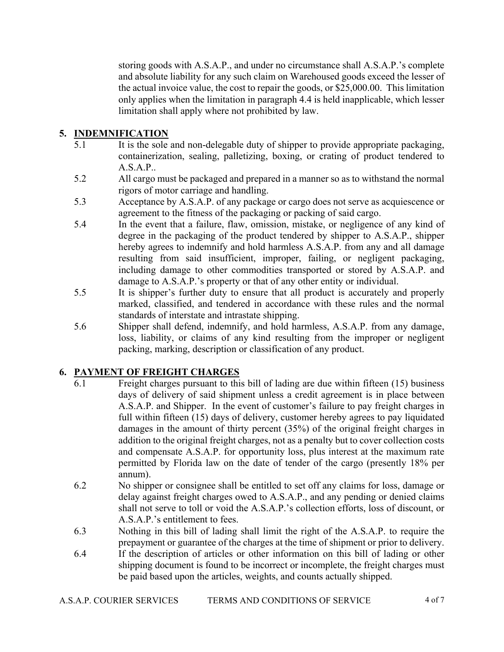storing goods with A.S.A.P., and under no circumstance shall A.S.A.P.'s complete and absolute liability for any such claim on Warehoused goods exceed the lesser of the actual invoice value, the cost to repair the goods, or \$25,000.00. This limitation only applies when the limitation in paragraph 4.4 is held inapplicable, which lesser limitation shall apply where not prohibited by law.

## **5. INDEMNIFICATION**

- 5.1 It is the sole and non-delegable duty of shipper to provide appropriate packaging, containerization, sealing, palletizing, boxing, or crating of product tendered to A.S.A.P..
- 5.2 All cargo must be packaged and prepared in a manner so as to withstand the normal rigors of motor carriage and handling.
- 5.3 Acceptance by A.S.A.P. of any package or cargo does not serve as acquiescence or agreement to the fitness of the packaging or packing of said cargo.
- 5.4 In the event that a failure, flaw, omission, mistake, or negligence of any kind of degree in the packaging of the product tendered by shipper to A.S.A.P., shipper hereby agrees to indemnify and hold harmless A.S.A.P. from any and all damage resulting from said insufficient, improper, failing, or negligent packaging, including damage to other commodities transported or stored by A.S.A.P. and damage to A.S.A.P.'s property or that of any other entity or individual.
- 5.5 It is shipper's further duty to ensure that all product is accurately and properly marked, classified, and tendered in accordance with these rules and the normal standards of interstate and intrastate shipping.
- 5.6 Shipper shall defend, indemnify, and hold harmless, A.S.A.P. from any damage, loss, liability, or claims of any kind resulting from the improper or negligent packing, marking, description or classification of any product.

#### **6. PAYMENT OF FREIGHT CHARGES**

- 6.1 Freight charges pursuant to this bill of lading are due within fifteen (15) business days of delivery of said shipment unless a credit agreement is in place between A.S.A.P. and Shipper. In the event of customer's failure to pay freight charges in full within fifteen (15) days of delivery, customer hereby agrees to pay liquidated damages in the amount of thirty percent (35%) of the original freight charges in addition to the original freight charges, not as a penalty but to cover collection costs and compensate A.S.A.P. for opportunity loss, plus interest at the maximum rate permitted by Florida law on the date of tender of the cargo (presently 18% per annum).
- 6.2 No shipper or consignee shall be entitled to set off any claims for loss, damage or delay against freight charges owed to A.S.A.P., and any pending or denied claims shall not serve to toll or void the A.S.A.P.'s collection efforts, loss of discount, or A.S.A.P.'s entitlement to fees.
- 6.3 Nothing in this bill of lading shall limit the right of the A.S.A.P. to require the prepayment or guarantee of the charges at the time of shipment or prior to delivery.
- 6.4 If the description of articles or other information on this bill of lading or other shipping document is found to be incorrect or incomplete, the freight charges must be paid based upon the articles, weights, and counts actually shipped.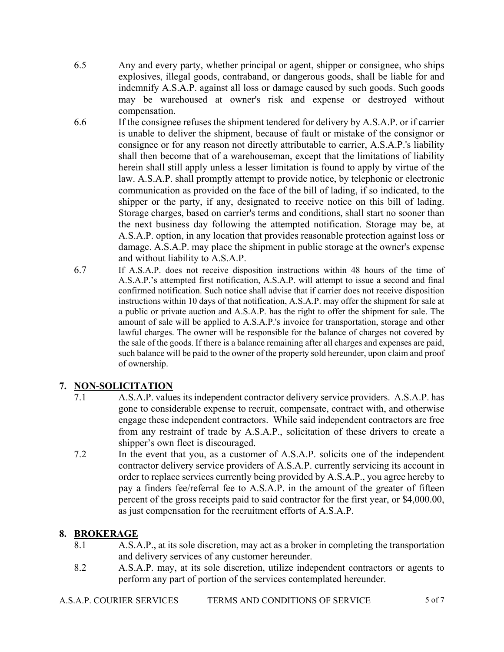- 6.5 Any and every party, whether principal or agent, shipper or consignee, who ships explosives, illegal goods, contraband, or dangerous goods, shall be liable for and indemnify A.S.A.P. against all loss or damage caused by such goods. Such goods may be warehoused at owner's risk and expense or destroyed without compensation.
- 6.6 If the consignee refuses the shipment tendered for delivery by A.S.A.P. or if carrier is unable to deliver the shipment, because of fault or mistake of the consignor or consignee or for any reason not directly attributable to carrier, A.S.A.P.'s liability shall then become that of a warehouseman, except that the limitations of liability herein shall still apply unless a lesser limitation is found to apply by virtue of the law. A.S.A.P. shall promptly attempt to provide notice, by telephonic or electronic communication as provided on the face of the bill of lading, if so indicated, to the shipper or the party, if any, designated to receive notice on this bill of lading. Storage charges, based on carrier's terms and conditions, shall start no sooner than the next business day following the attempted notification. Storage may be, at A.S.A.P. option, in any location that provides reasonable protection against loss or damage. A.S.A.P. may place the shipment in public storage at the owner's expense and without liability to A.S.A.P.
- 6.7 If A.S.A.P. does not receive disposition instructions within 48 hours of the time of A.S.A.P.'s attempted first notification, A.S.A.P. will attempt to issue a second and final confirmed notification. Such notice shall advise that if carrier does not receive disposition instructions within 10 days of that notification, A.S.A.P. may offer the shipment for sale at a public or private auction and A.S.A.P. has the right to offer the shipment for sale. The amount of sale will be applied to A.S.A.P.'s invoice for transportation, storage and other lawful charges. The owner will be responsible for the balance of charges not covered by the sale of the goods. If there is a balance remaining after all charges and expenses are paid, such balance will be paid to the owner of the property sold hereunder, upon claim and proof of ownership.

## **7. NON-SOLICITATION**

- 7.1 A.S.A.P. values its independent contractor delivery service providers. A.S.A.P. has gone to considerable expense to recruit, compensate, contract with, and otherwise engage these independent contractors. While said independent contractors are free from any restraint of trade by A.S.A.P., solicitation of these drivers to create a shipper's own fleet is discouraged.
- 7.2 In the event that you, as a customer of A.S.A.P. solicits one of the independent contractor delivery service providers of A.S.A.P. currently servicing its account in order to replace services currently being provided by A.S.A.P., you agree hereby to pay a finders fee/referral fee to A.S.A.P. in the amount of the greater of fifteen percent of the gross receipts paid to said contractor for the first year, or \$4,000.00, as just compensation for the recruitment efforts of A.S.A.P.

## **8. BROKERAGE**

- 8.1 A.S.A.P., at its sole discretion, may act as a broker in completing the transportation and delivery services of any customer hereunder.
- 8.2 A.S.A.P. may, at its sole discretion, utilize independent contractors or agents to perform any part of portion of the services contemplated hereunder.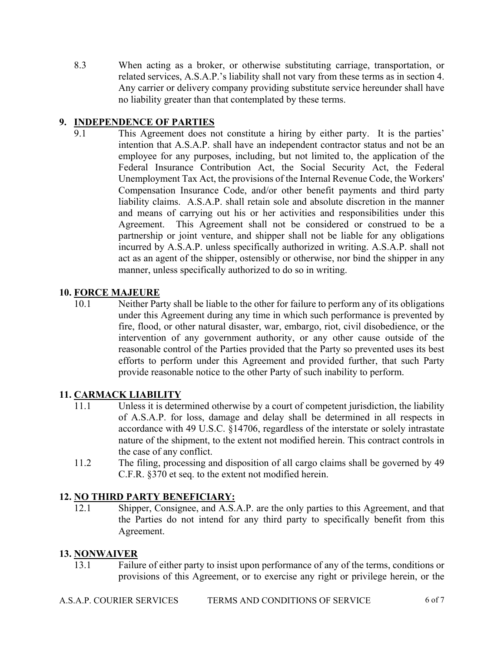8.3 When acting as a broker, or otherwise substituting carriage, transportation, or related services, A.S.A.P.'s liability shall not vary from these terms as in section 4. Any carrier or delivery company providing substitute service hereunder shall have no liability greater than that contemplated by these terms.

## **9. INDEPENDENCE OF PARTIES**

9.1 This Agreement does not constitute a hiring by either party. It is the parties' intention that A.S.A.P. shall have an independent contractor status and not be an employee for any purposes, including, but not limited to, the application of the Federal Insurance Contribution Act, the Social Security Act, the Federal Unemployment Tax Act, the provisions of the Internal Revenue Code, the Workers' Compensation Insurance Code, and/or other benefit payments and third party liability claims. A.S.A.P. shall retain sole and absolute discretion in the manner and means of carrying out his or her activities and responsibilities under this Agreement. This Agreement shall not be considered or construed to be a partnership or joint venture, and shipper shall not be liable for any obligations incurred by A.S.A.P. unless specifically authorized in writing. A.S.A.P. shall not act as an agent of the shipper, ostensibly or otherwise, nor bind the shipper in any manner, unless specifically authorized to do so in writing.

#### **10. FORCE MAJEURE**

10.1 Neither Party shall be liable to the other for failure to perform any of its obligations under this Agreement during any time in which such performance is prevented by fire, flood, or other natural disaster, war, embargo, riot, civil disobedience, or the intervention of any government authority, or any other cause outside of the reasonable control of the Parties provided that the Party so prevented uses its best efforts to perform under this Agreement and provided further, that such Party provide reasonable notice to the other Party of such inability to perform.

## **11. CARMACK LIABILITY**

- 11.1 Unless it is determined otherwise by a court of competent jurisdiction, the liability of A.S.A.P. for loss, damage and delay shall be determined in all respects in accordance with 49 U.S.C. §14706, regardless of the interstate or solely intrastate nature of the shipment, to the extent not modified herein. This contract controls in the case of any conflict.
- 11.2 The filing, processing and disposition of all cargo claims shall be governed by 49 C.F.R. §370 et seq. to the extent not modified herein.

#### **12. NO THIRD PARTY BENEFICIARY:**

12.1 Shipper, Consignee, and A.S.A.P. are the only parties to this Agreement, and that the Parties do not intend for any third party to specifically benefit from this Agreement.

#### **13. NONWAIVER**

13.1 Failure of either party to insist upon performance of any of the terms, conditions or provisions of this Agreement, or to exercise any right or privilege herein, or the